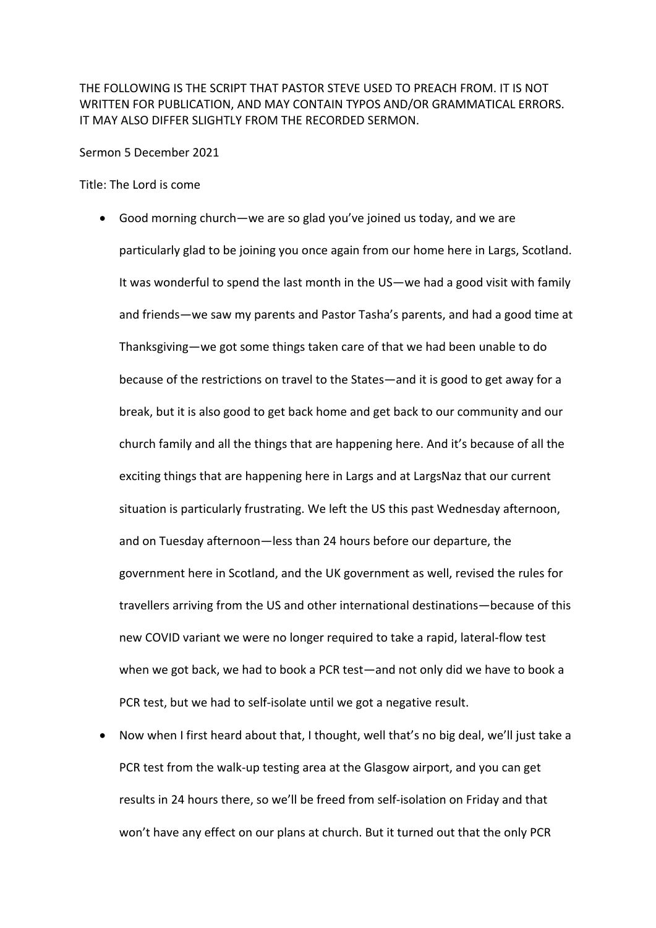THE FOLLOWING IS THE SCRIPT THAT PASTOR STEVE USED TO PREACH FROM. IT IS NOT WRITTEN FOR PUBLICATION, AND MAY CONTAIN TYPOS AND/OR GRAMMATICAL ERRORS. IT MAY ALSO DIFFER SLIGHTLY FROM THE RECORDED SERMON.

Sermon 5 December 2021

Title: The Lord is come

- Good morning church—we are so glad you've joined us today, and we are particularly glad to be joining you once again from our home here in Largs, Scotland. It was wonderful to spend the last month in the US—we had a good visit with family and friends—we saw my parents and Pastor Tasha's parents, and had a good time at Thanksgiving—we got some things taken care of that we had been unable to do because of the restrictions on travel to the States—and it is good to get away for a break, but it is also good to get back home and get back to our community and our church family and all the things that are happening here. And it's because of all the exciting things that are happening here in Largs and at LargsNaz that our current situation is particularly frustrating. We left the US this past Wednesday afternoon, and on Tuesday afternoon—less than 24 hours before our departure, the government here in Scotland, and the UK government as well, revised the rules for travellers arriving from the US and other international destinations—because of this new COVID variant we were no longer required to take a rapid, lateral-flow test when we got back, we had to book a PCR test—and not only did we have to book a PCR test, but we had to self-isolate until we got a negative result.
- Now when I first heard about that, I thought, well that's no big deal, we'll just take a PCR test from the walk-up testing area at the Glasgow airport, and you can get results in 24 hours there, so we'll be freed from self-isolation on Friday and that won't have any effect on our plans at church. But it turned out that the only PCR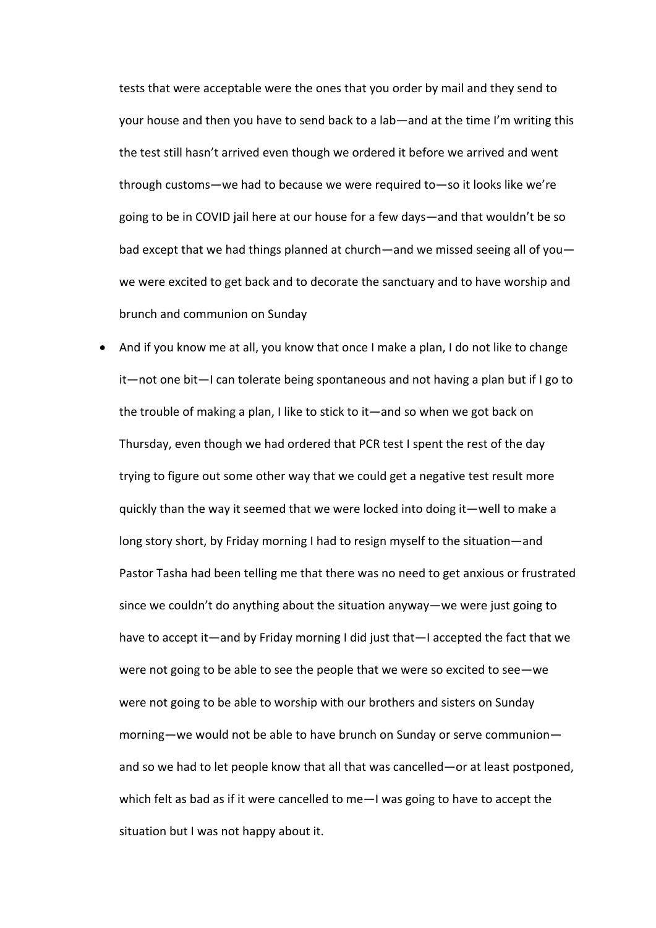tests that were acceptable were the ones that you order by mail and they send to your house and then you have to send back to a lab—and at the time I'm writing this the test still hasn't arrived even though we ordered it before we arrived and went through customs—we had to because we were required to—so it looks like we're going to be in COVID jail here at our house for a few days—and that wouldn't be so bad except that we had things planned at church—and we missed seeing all of you we were excited to get back and to decorate the sanctuary and to have worship and brunch and communion on Sunday

• And if you know me at all, you know that once I make a plan, I do not like to change it—not one bit—I can tolerate being spontaneous and not having a plan but if I go to the trouble of making a plan, I like to stick to it—and so when we got back on Thursday, even though we had ordered that PCR test I spent the rest of the day trying to figure out some other way that we could get a negative test result more quickly than the way it seemed that we were locked into doing it—well to make a long story short, by Friday morning I had to resign myself to the situation—and Pastor Tasha had been telling me that there was no need to get anxious or frustrated since we couldn't do anything about the situation anyway—we were just going to have to accept it—and by Friday morning I did just that—I accepted the fact that we were not going to be able to see the people that we were so excited to see—we were not going to be able to worship with our brothers and sisters on Sunday morning—we would not be able to have brunch on Sunday or serve communion and so we had to let people know that all that was cancelled—or at least postponed, which felt as bad as if it were cancelled to me—I was going to have to accept the situation but I was not happy about it.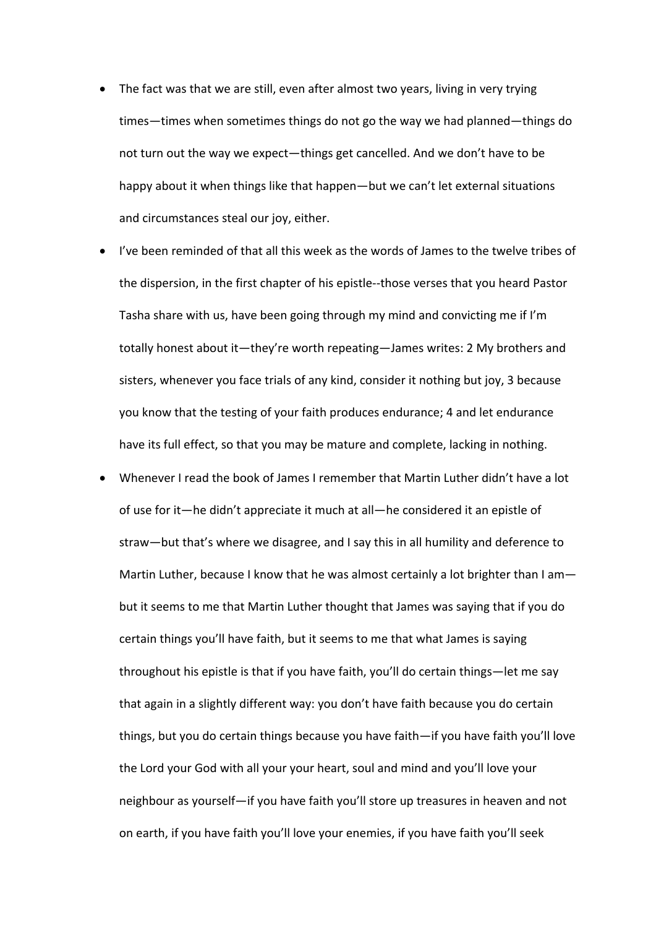- The fact was that we are still, even after almost two years, living in very trying times—times when sometimes things do not go the way we had planned—things do not turn out the way we expect—things get cancelled. And we don't have to be happy about it when things like that happen—but we can't let external situations and circumstances steal our joy, either.
- I've been reminded of that all this week as the words of James to the twelve tribes of the dispersion, in the first chapter of his epistle--those verses that you heard Pastor Tasha share with us, have been going through my mind and convicting me if I'm totally honest about it—they're worth repeating—James writes: 2 My brothers and sisters, whenever you face trials of any kind, consider it nothing but joy, 3 because you know that the testing of your faith produces endurance; 4 and let endurance have its full effect, so that you may be mature and complete, lacking in nothing.
- Whenever I read the book of James I remember that Martin Luther didn't have a lot of use for it—he didn't appreciate it much at all—he considered it an epistle of straw—but that's where we disagree, and I say this in all humility and deference to Martin Luther, because I know that he was almost certainly a lot brighter than I ambut it seems to me that Martin Luther thought that James was saying that if you do certain things you'll have faith, but it seems to me that what James is saying throughout his epistle is that if you have faith, you'll do certain things—let me say that again in a slightly different way: you don't have faith because you do certain things, but you do certain things because you have faith—if you have faith you'll love the Lord your God with all your your heart, soul and mind and you'll love your neighbour as yourself—if you have faith you'll store up treasures in heaven and not on earth, if you have faith you'll love your enemies, if you have faith you'll seek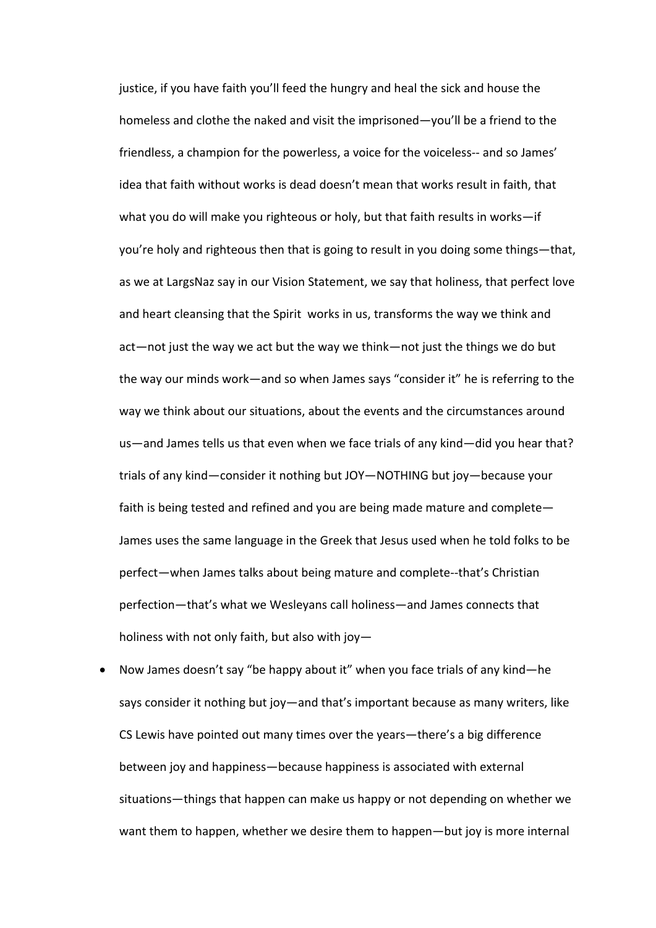justice, if you have faith you'll feed the hungry and heal the sick and house the homeless and clothe the naked and visit the imprisoned—you'll be a friend to the friendless, a champion for the powerless, a voice for the voiceless-- and so James' idea that faith without works is dead doesn't mean that works result in faith, that what you do will make you righteous or holy, but that faith results in works—if you're holy and righteous then that is going to result in you doing some things—that, as we at LargsNaz say in our Vision Statement, we say that holiness, that perfect love and heart cleansing that the Spirit works in us, transforms the way we think and act—not just the way we act but the way we think—not just the things we do but the way our minds work—and so when James says "consider it" he is referring to the way we think about our situations, about the events and the circumstances around us—and James tells us that even when we face trials of any kind—did you hear that? trials of any kind—consider it nothing but JOY—NOTHING but joy—because your faith is being tested and refined and you are being made mature and complete— James uses the same language in the Greek that Jesus used when he told folks to be perfect—when James talks about being mature and complete--that's Christian perfection—that's what we Wesleyans call holiness—and James connects that holiness with not only faith, but also with joy—

• Now James doesn't say "be happy about it" when you face trials of any kind—he says consider it nothing but joy—and that's important because as many writers, like CS Lewis have pointed out many times over the years—there's a big difference between joy and happiness—because happiness is associated with external situations—things that happen can make us happy or not depending on whether we want them to happen, whether we desire them to happen—but joy is more internal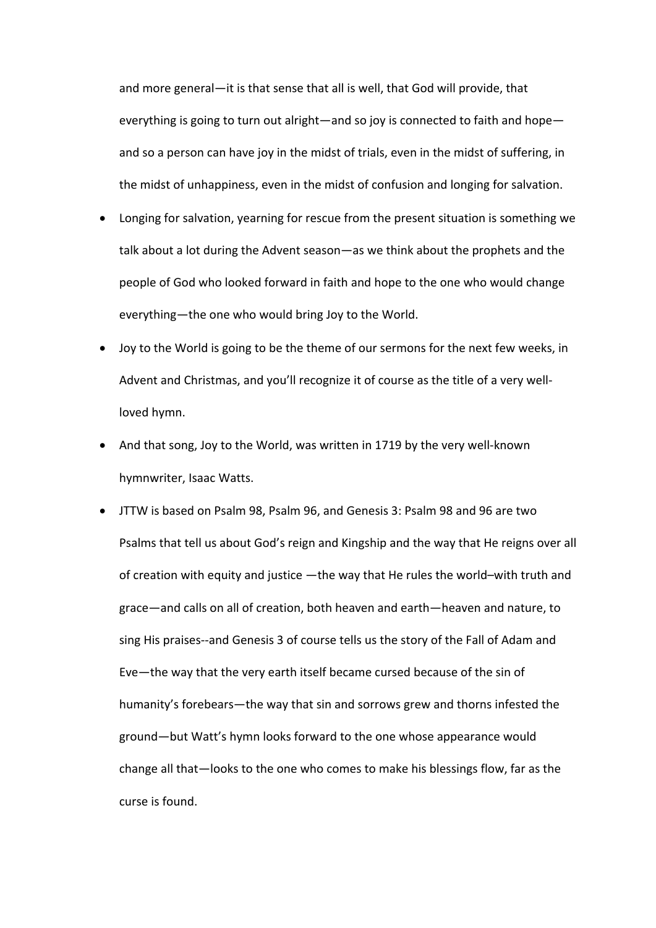and more general—it is that sense that all is well, that God will provide, that everything is going to turn out alright—and so joy is connected to faith and hope and so a person can have joy in the midst of trials, even in the midst of suffering, in the midst of unhappiness, even in the midst of confusion and longing for salvation.

- Longing for salvation, yearning for rescue from the present situation is something we talk about a lot during the Advent season—as we think about the prophets and the people of God who looked forward in faith and hope to the one who would change everything—the one who would bring Joy to the World.
- Joy to the World is going to be the theme of our sermons for the next few weeks, in Advent and Christmas, and you'll recognize it of course as the title of a very wellloved hymn.
- And that song, Joy to the World, was written in 1719 by the very well-known hymnwriter, Isaac Watts.
- JTTW is based on Psalm 98, Psalm 96, and Genesis 3: Psalm 98 and 96 are two Psalms that tell us about God's reign and Kingship and the way that He reigns over all of creation with equity and justice —the way that He rules the world–with truth and grace—and calls on all of creation, both heaven and earth—heaven and nature, to sing His praises--and Genesis 3 of course tells us the story of the Fall of Adam and Eve—the way that the very earth itself became cursed because of the sin of humanity's forebears—the way that sin and sorrows grew and thorns infested the ground—but Watt's hymn looks forward to the one whose appearance would change all that—looks to the one who comes to make his blessings flow, far as the curse is found.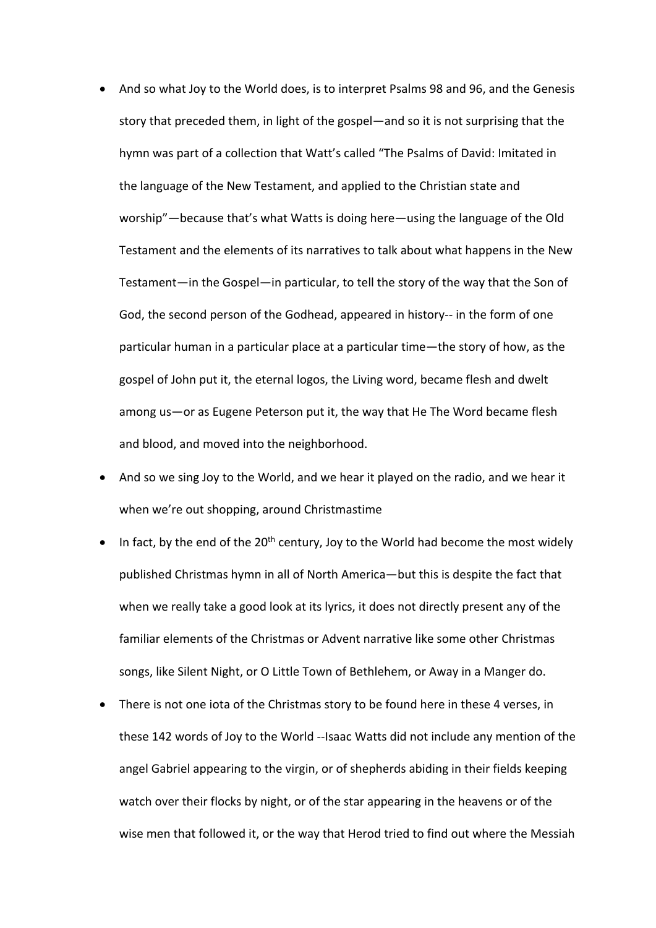- And so what Joy to the World does, is to interpret Psalms 98 and 96, and the Genesis story that preceded them, in light of the gospel—and so it is not surprising that the hymn was part of a collection that Watt's called "The Psalms of David: Imitated in the language of the New Testament, and applied to the Christian state and worship"—because that's what Watts is doing here—using the language of the Old Testament and the elements of its narratives to talk about what happens in the New Testament—in the Gospel—in particular, to tell the story of the way that the Son of God, the second person of the Godhead, appeared in history-- in the form of one particular human in a particular place at a particular time—the story of how, as the gospel of John put it, the eternal logos, the Living word, became flesh and dwelt among us—or as Eugene Peterson put it, the way that He The Word became flesh and blood, and moved into the neighborhood.
- And so we sing Joy to the World, and we hear it played on the radio, and we hear it when we're out shopping, around Christmastime
- In fact, by the end of the  $20<sup>th</sup>$  century, Joy to the World had become the most widely published Christmas hymn in all of North America—but this is despite the fact that when we really take a good look at its lyrics, it does not directly present any of the familiar elements of the Christmas or Advent narrative like some other Christmas songs, like Silent Night, or O Little Town of Bethlehem, or Away in a Manger do.
- There is not one iota of the Christmas story to be found here in these 4 verses, in these 142 words of Joy to the World --Isaac Watts did not include any mention of the angel Gabriel appearing to the virgin, or of shepherds abiding in their fields keeping watch over their flocks by night, or of the star appearing in the heavens or of the wise men that followed it, or the way that Herod tried to find out where the Messiah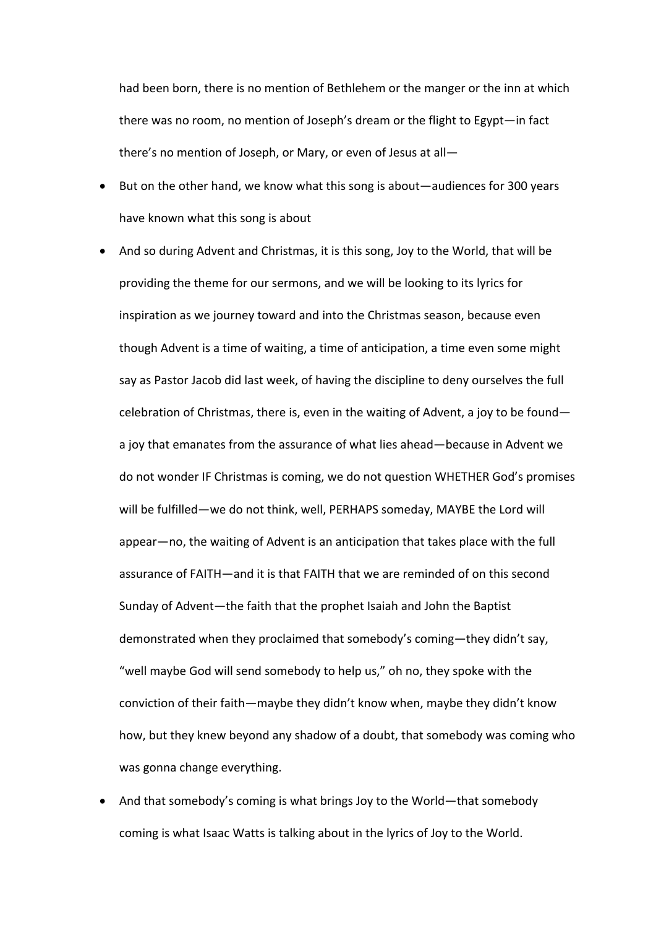had been born, there is no mention of Bethlehem or the manger or the inn at which there was no room, no mention of Joseph's dream or the flight to Egypt—in fact there's no mention of Joseph, or Mary, or even of Jesus at all—

- But on the other hand, we know what this song is about—audiences for 300 years have known what this song is about
- And so during Advent and Christmas, it is this song, Joy to the World, that will be providing the theme for our sermons, and we will be looking to its lyrics for inspiration as we journey toward and into the Christmas season, because even though Advent is a time of waiting, a time of anticipation, a time even some might say as Pastor Jacob did last week, of having the discipline to deny ourselves the full celebration of Christmas, there is, even in the waiting of Advent, a joy to be found a joy that emanates from the assurance of what lies ahead—because in Advent we do not wonder IF Christmas is coming, we do not question WHETHER God's promises will be fulfilled—we do not think, well, PERHAPS someday, MAYBE the Lord will appear—no, the waiting of Advent is an anticipation that takes place with the full assurance of FAITH—and it is that FAITH that we are reminded of on this second Sunday of Advent—the faith that the prophet Isaiah and John the Baptist demonstrated when they proclaimed that somebody's coming—they didn't say, "well maybe God will send somebody to help us," oh no, they spoke with the conviction of their faith—maybe they didn't know when, maybe they didn't know how, but they knew beyond any shadow of a doubt, that somebody was coming who was gonna change everything.
- And that somebody's coming is what brings Joy to the World—that somebody coming is what Isaac Watts is talking about in the lyrics of Joy to the World.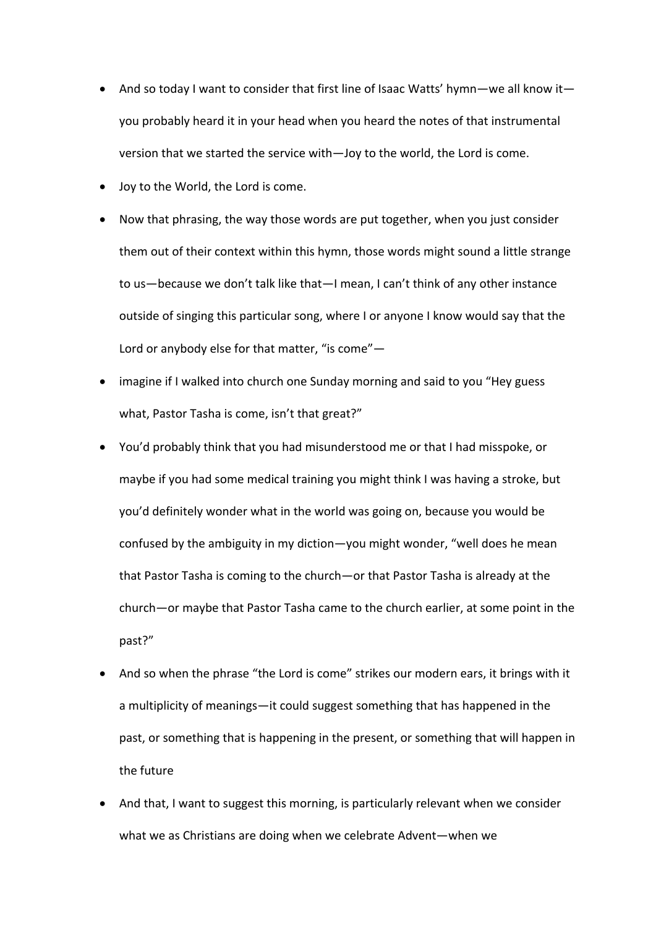- And so today I want to consider that first line of Isaac Watts' hymn—we all know it you probably heard it in your head when you heard the notes of that instrumental version that we started the service with—Joy to the world, the Lord is come.
- Joy to the World, the Lord is come.
- Now that phrasing, the way those words are put together, when you just consider them out of their context within this hymn, those words might sound a little strange to us—because we don't talk like that—I mean, I can't think of any other instance outside of singing this particular song, where I or anyone I know would say that the Lord or anybody else for that matter, "is come"—
- imagine if I walked into church one Sunday morning and said to you "Hey guess what, Pastor Tasha is come, isn't that great?"
- You'd probably think that you had misunderstood me or that I had misspoke, or maybe if you had some medical training you might think I was having a stroke, but you'd definitely wonder what in the world was going on, because you would be confused by the ambiguity in my diction—you might wonder, "well does he mean that Pastor Tasha is coming to the church—or that Pastor Tasha is already at the church—or maybe that Pastor Tasha came to the church earlier, at some point in the past?"
- And so when the phrase "the Lord is come" strikes our modern ears, it brings with it a multiplicity of meanings—it could suggest something that has happened in the past, or something that is happening in the present, or something that will happen in the future
- And that, I want to suggest this morning, is particularly relevant when we consider what we as Christians are doing when we celebrate Advent—when we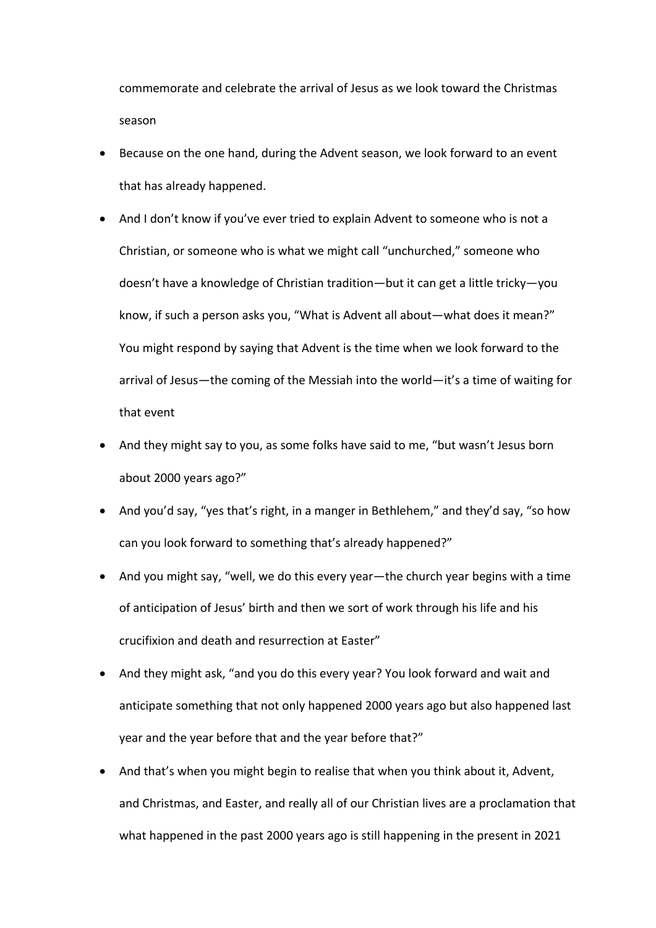commemorate and celebrate the arrival of Jesus as we look toward the Christmas season

- Because on the one hand, during the Advent season, we look forward to an event that has already happened.
- And I don't know if you've ever tried to explain Advent to someone who is not a Christian, or someone who is what we might call "unchurched," someone who doesn't have a knowledge of Christian tradition—but it can get a little tricky—you know, if such a person asks you, "What is Advent all about—what does it mean?" You might respond by saying that Advent is the time when we look forward to the arrival of Jesus—the coming of the Messiah into the world—it's a time of waiting for that event
- And they might say to you, as some folks have said to me, "but wasn't Jesus born about 2000 years ago?"
- And you'd say, "yes that's right, in a manger in Bethlehem," and they'd say, "so how can you look forward to something that's already happened?"
- And you might say, "well, we do this every year—the church year begins with a time of anticipation of Jesus' birth and then we sort of work through his life and his crucifixion and death and resurrection at Easter"
- And they might ask, "and you do this every year? You look forward and wait and anticipate something that not only happened 2000 years ago but also happened last year and the year before that and the year before that?"
- And that's when you might begin to realise that when you think about it, Advent, and Christmas, and Easter, and really all of our Christian lives are a proclamation that what happened in the past 2000 years ago is still happening in the present in 2021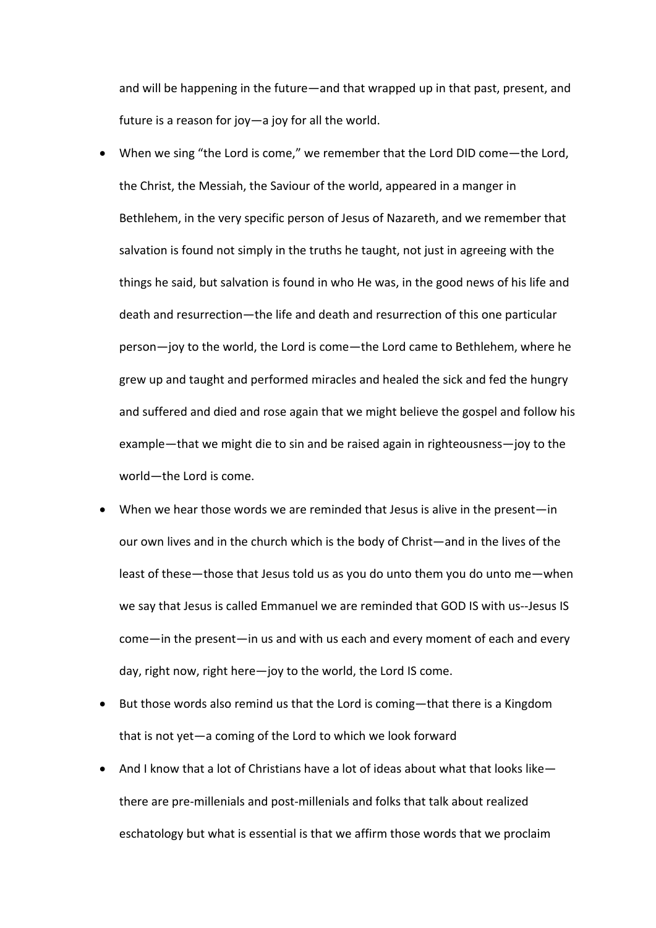and will be happening in the future—and that wrapped up in that past, present, and future is a reason for joy—a joy for all the world.

- When we sing "the Lord is come," we remember that the Lord DID come—the Lord, the Christ, the Messiah, the Saviour of the world, appeared in a manger in Bethlehem, in the very specific person of Jesus of Nazareth, and we remember that salvation is found not simply in the truths he taught, not just in agreeing with the things he said, but salvation is found in who He was, in the good news of his life and death and resurrection—the life and death and resurrection of this one particular person—joy to the world, the Lord is come—the Lord came to Bethlehem, where he grew up and taught and performed miracles and healed the sick and fed the hungry and suffered and died and rose again that we might believe the gospel and follow his example—that we might die to sin and be raised again in righteousness—joy to the world—the Lord is come.
- When we hear those words we are reminded that Jesus is alive in the present—in our own lives and in the church which is the body of Christ—and in the lives of the least of these—those that Jesus told us as you do unto them you do unto me—when we say that Jesus is called Emmanuel we are reminded that GOD IS with us--Jesus IS come—in the present—in us and with us each and every moment of each and every day, right now, right here—joy to the world, the Lord IS come.
- But those words also remind us that the Lord is coming—that there is a Kingdom that is not yet—a coming of the Lord to which we look forward
- And I know that a lot of Christians have a lot of ideas about what that looks like there are pre-millenials and post-millenials and folks that talk about realized eschatology but what is essential is that we affirm those words that we proclaim